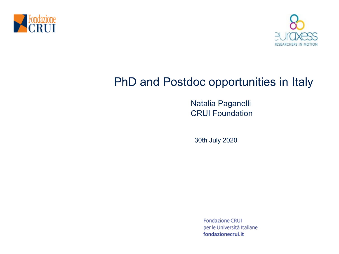



# PhD and Postdoc opportunities in Italy

Natalia Paganelli CRUI Foundation

30th July 2020

**Fondazione CRUI** per le Università Italiane fondazionecrui.it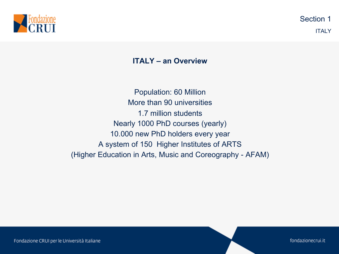

## **ITALY – an Overview**

Population: 60 Million More than 90 universities 1.7 million students Nearly 1000 PhD courses (yearly) 10.000 new PhD holders every year A system of 150 Higher Institutes of ARTS (Higher Education in Arts, Music and Coreography - AFAM)

fondazionecrui.it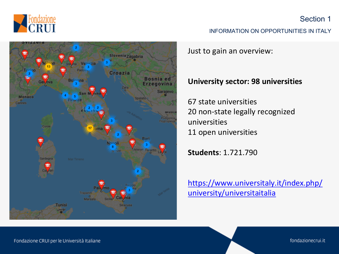



#### INFORMATION ON OPPORTU

Just to gain an overview:

## **University sector: 98 univers**

67 state universities 20 non-state legally recognize universities 11 open universities

**Students**: 1.721.790

https://www.universitaly.it/index.php university/universitaitalia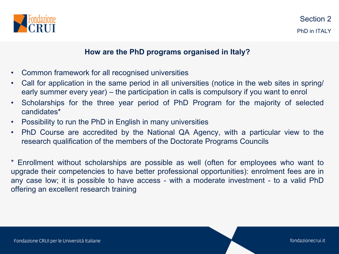

## **How are the PhD programs organised in Italy?**

- Common framework for all recognised universities
- Call for application in the same period in all universities (notice in the web sites in spring/ early summer every year) – the participation in calls is compulsory if you want to enrol
- Scholarships for the three year period of PhD Program for the majority of selected candidates\*
- Possibility to run the PhD in English in many universities
- PhD Course are accredited by the National QA Agency, with a particular view to the research qualification of the members of the Doctorate Programs Councils

\* Enrollment without scholarships are possible as well (often for employees who want to upgrade their competencies to have better professional opportunities): enrolment fees are in any case low; it is possible to have access - with a moderate investment - to a valid PhD offering an excellent research training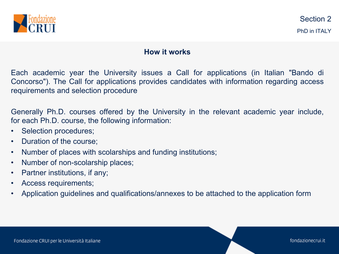

## **How it works**

Each academic year the University issues a Call for applications (in Italian "Bando di Concorso"). The Call for applications provides candidates with information regarding access requirements and selection procedure

Generally Ph.D. courses offered by the University in the relevant academic year include, for each Ph.D. course, the following information:

- Selection procedures;
- Duration of the course;
- Number of places with scolarships and funding institutions;
- Number of non-scolarship places;
- Partner institutions, if any;
- Access requirements;
- Application guidelines and qualifications/annexes to be attached to the application form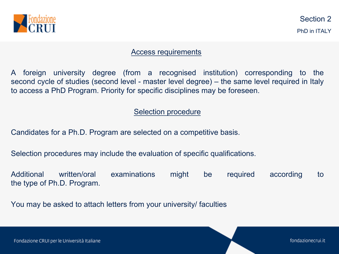

#### Access requirements

A foreign university degree (from a recognised institution) corresponding to the second cycle of studies (second level - master level degree) – the same level required in Italy to access a PhD Program. Priority for specific disciplines may be foreseen.

## Selection procedure

Candidates for a Ph.D. Program are selected on a competitive basis.

Selection procedures may include the evaluation of specific qualifications.

Additional written/oral examinations might be required according to the type of Ph.D. Program.

You may be asked to attach letters from your university/ faculties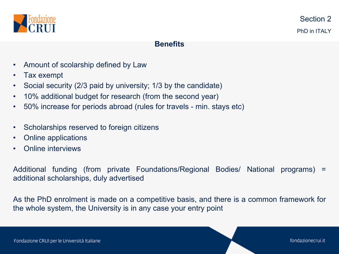

#### **Benefits**

- Amount of scolarship defined by Law
- Tax exempt
- Social security (2/3 paid by university; 1/3 by the candidate)
- 10% additional budget for research (from the second year)
- 50% increase for periods abroad (rules for travels min. stays etc)
- Scholarships reserved to foreign citizens
- Online applications
- Online interviews

Additional funding (from private Foundations/Regional Bodies/ National programs) = additional scholarships, duly advertised

As the PhD enrolment is made on a competitive basis, and there is a common framework for the whole system, the University is in any case your entry point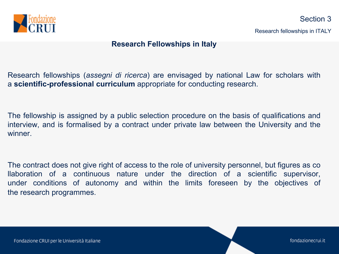

#### **Research Fellowships in Italy**

Research fellowships (*assegni di ricerca*) are envisaged by national Law for scholars with a **scientific-professional curriculum** appropriate for conducting research.

The fellowship is assigned by a public selection procedure on the basis of qualifications and interview, and is formalised by a contract under private law between the University and the winner.

The contract does not give right of access to the role of university personnel, but figures as co llaboration of a continuous nature under the direction of a scientific supervisor, under conditions of autonomy and within the limits foreseen by the objectives of the research programmes.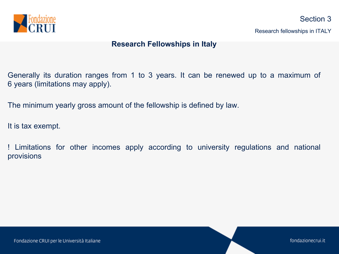

**Research Fellowships in Italy**

Generally its duration ranges from 1 to 3 years. It can be renewed up to a maximum of 6 years (limitations may apply).

The minimum yearly gross amount of the fellowship is defined by law.

It is tax exempt.

! Limitations for other incomes apply according to university regulations and national provisions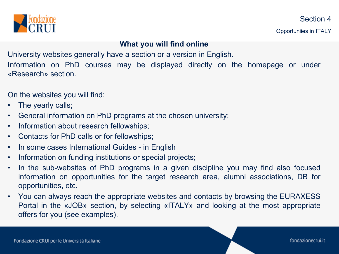

Opportuniies in ITALY

**What you will find online**

University websites generally have a section or a version in English. Information on PhD courses may be displayed directly on the homepage or under «Research» section.

On the websites you will find:

- The yearly calls;
- General information on PhD programs at the chosen university;
- Information about research fellowships;
- Contacts for PhD calls or for fellowships;
- In some cases International Guides in English
- Information on funding institutions or special projects;
- In the sub-websites of PhD programs in a given discipline you may find also focused information on opportunities for the target research area, alumni associations, DB for opportunities, etc.
- You can always reach the appropriate websites and contacts by browsing the EURAXESS Portal in the «JOB» section, by selecting «ITALY» and looking at the most appropriate offers for you (see examples).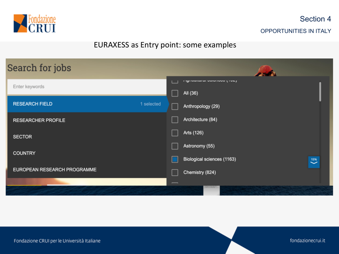

# EURAXESS as Entry point: some examples

| Search for jobs             |            |                                                                                                                                                                                                                                          |  |  |  |  |
|-----------------------------|------------|------------------------------------------------------------------------------------------------------------------------------------------------------------------------------------------------------------------------------------------|--|--|--|--|
| Enter keywords              |            | <b><i>I</i></b> Information open to the product of the product of the product of the product of the product of the product of the product of the product of the product of the product of the product of the product of the product of t |  |  |  |  |
|                             |            | All (36)                                                                                                                                                                                                                                 |  |  |  |  |
| <b>RESEARCH FIELD</b>       | 1 selected | Anthropology (29)                                                                                                                                                                                                                        |  |  |  |  |
| <b>RESEARCHER PROFILE</b>   |            | Architecture (84)                                                                                                                                                                                                                        |  |  |  |  |
| <b>SECTOR</b>               |            | Arts (126)                                                                                                                                                                                                                               |  |  |  |  |
|                             |            | Astronomy (55)                                                                                                                                                                                                                           |  |  |  |  |
| <b>COUNTRY</b>              |            | Biological sciences (1163)<br>15%<br>$\check{ }$                                                                                                                                                                                         |  |  |  |  |
| EUROPEAN RESEARCH PROGRAMME |            | Chemistry (824)                                                                                                                                                                                                                          |  |  |  |  |
|                             |            |                                                                                                                                                                                                                                          |  |  |  |  |
|                             |            | <b>COLORADO AND INCOME.</b>                                                                                                                                                                                                              |  |  |  |  |

fondazionecrui.it